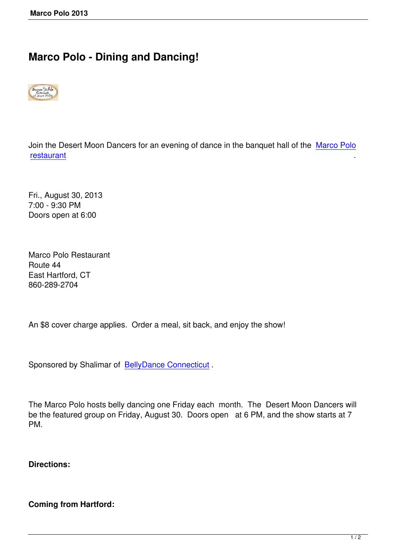## **Marco Polo - Dining and Dancing!**



Join the Desert Moon Dancers for an evening of dance in the banquet hall of the Marco Polo restaurant .

[Fri., Augus](http://www.marcopoloct.com/)t 30, 2013 7:00 - 9:30 PM Doors open at 6:00

Marco Polo Restaurant Route 44 East Hartford, CT 860-289-2704

An \$8 cover charge applies. Order a meal, sit back, and enjoy the show!

Sponsored by Shalimar of BellyDance Connecticut.

The Marco Polo hosts bell[y dancing one Friday eac](http://www.bellydanceconnecticut.com/marcopololivedancing.html)h month. The Desert Moon Dancers will be the featured group on Friday, August 30. Doors open at 6 PM, and the show starts at 7 PM.

**Directions:**

**Coming from Hartford:**